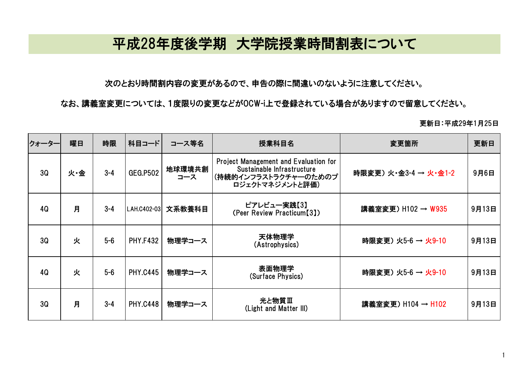## 平成28年度後学期 大学院授業時間割表について

次のとおり時間割内容の変更があるので、申告の際に間違いのないように注意してください。

なお、講義室変更については、1度限りの変更などがOCW-i上で登録されている場合がありますので留意してください。

更新日:平成29年1月25日

| <b>フォーター</b> | 曜日  | 時限      | 科目コード           | コース等名         | 授業科目名                                                                                                                 | 変更箇所                  | 更新日   |
|--------------|-----|---------|-----------------|---------------|-----------------------------------------------------------------------------------------------------------------------|-----------------------|-------|
| 3Q           | 火·金 | $3 - 4$ | <b>GEG.P502</b> | 地球環境共創<br>コース | <b>Project Management and Evaluation for</b><br>Sustainable Infrastructure<br>(持続的インフラストラクチャ―のためのプ<br>ロジェクトマネジメントと評価) | 時限変更) 火·金3-4 → 火·金1-2 | 9月6日  |
| 4Q           | 月   | $3 - 4$ | LAH.C402-03     | 文系教養科目        | ピアレビュー実践【3】<br>(Peer Review Practicum[3])                                                                             | 講義室変更) H102 → W935    | 9月13日 |
| 3Q           | 火   | $5-6$   | <b>PHY.F432</b> | 物理学コース        | 天体物理学<br>(Astrophysics)                                                                                               | 時限変更) 火5-6 → 火9-10    | 9月13日 |
| 4Q           | 火   | $5-6$   | <b>PHY.C445</b> | 物理学コース        | 表面物理学<br>(Surface Physics)                                                                                            | 時限変更) 火5-6 → 火9-10    | 9月13日 |
| 3Q           | 月   | $3 - 4$ | <b>PHY.C448</b> | 物理学コース        | 光と物質Ⅲ<br>(Light and Matter III)                                                                                       | 講義室変更) H104 → H102    | 9月13日 |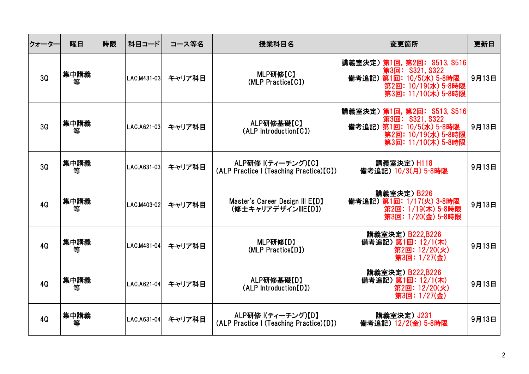| クォーター | 曜日        | 時限 | 科目コード       | コース等名  | 授業科目名                                                          | 変更箇所                                                                                                                     | 更新日   |
|-------|-----------|----|-------------|--------|----------------------------------------------------------------|--------------------------------------------------------------------------------------------------------------------------|-------|
| 3Q    | 集中講義<br>等 |    | LAC.M431-03 | キャリア科目 | MLP研修[C]<br>(MLP Practice[C])                                  | 講義室決定) 第1回, 第2回: S513, S516<br>第3回: S321, S322<br>備考追記) 第1回: 10/5(水) 5-8時限<br>第2回: 10/19(水) 5-8時限<br>第3回: 11/10(木) 5-8時限 | 9月13日 |
| 3Q    | 集中講義<br>等 |    | LAC.A621-03 | キャリア科目 | ALP研修基礎【C】<br>(ALP Introduction[C])                            | 講義室決定)第1回,第2回: 8513,8516<br>第3回: S321, S322<br>備考追記) 第1回: 10/5(水) 5-8時限<br>第2回: 10/19(水) 5-8時限<br>第3回: 11/10(木) 5-8時限    | 9月13日 |
| 3Q    | 集中講義<br>等 |    | LAC.A631-03 | キャリア科目 | ALP研修 I(ティーチング)【C】<br>(ALP Practice I (Teaching Practice)[C])  | 講義室決定) H118<br>備考追記) 10/3(月) 5-8時限                                                                                       | 9月13日 |
| 4Q    | 集中講義<br>等 |    | LAC.M403-02 | キャリア科目 | Master's Career Design III E[D]<br>(修士キャリアデザインIIIE【D】)         | 講義室決定) B226<br>備考追記) 第1回: 1/17(火) 3-8時限<br>第2回: 1/19(木) 5-8時限<br>第3回: 1/20(金) 5-8時限                                      | 9月13日 |
| 4Q    | 集中講義<br>等 |    | LAC.M431-04 | キャリア科目 | MLP研修 [D]<br>(MLP Practice[D])                                 | 講義室決定) B222,B226<br>備考追記) 第1回: 12/1(木)<br>第2回: 12/20(火)<br>第3回: 1/27(金)                                                  | 9月13日 |
| 4Q    | 集中講義<br>等 |    | LAC.A621-04 | キャリア科目 | ALP研修基礎【D】<br>(ALP Introduction[D])                            | 講義室決定) B222,B226<br>備考追記) 第1回: 12/1(木)<br>第2回: 12/20(火)<br>第3回: 1/27(金)                                                  | 9月13日 |
| 4Q    | 集中講義<br>等 |    | LAC.A631-04 | キャリア科目 | ALP研修 I(ティーチング)【D】<br>(ALP Practice I (Teaching Practice) [D]) | 講義室決定) J231<br>備考追記) 12/2(金) 5-8時限                                                                                       | 9月13日 |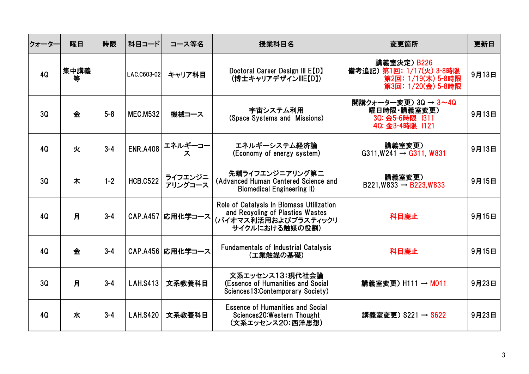| クォータ- | 曜日        | 時限      | 科目コード           | コース等名              | 授業科目名                                                                                                                  | 変更箇所                                                                                | 更新日   |
|-------|-----------|---------|-----------------|--------------------|------------------------------------------------------------------------------------------------------------------------|-------------------------------------------------------------------------------------|-------|
| 4Q    | 集中講義<br>等 |         | LAC.C603-02     | キャリア科目             | Doctoral Career Design III E[D]<br>(博士キャリアデザイン   E【D】)                                                                 | 講義室決定) B226<br>備考追記) 第1回: 1/17(火) 3-8時限<br>第2回: 1/19(木) 5-8時限<br>第3回: 1/20(金) 5-8時限 | 9月13日 |
| 3Q    | 金         | $5-8$   | <b>MEC.M532</b> | 機械コース              | 宇宙システム利用<br>(Space Systems and Missions)                                                                               | 開講クォーター変更) 3Q → 3~4Q<br>曜日時限・講義室変更)<br>3Q: 金5-6時限 1311<br>40: 金3-4時限  121           | 9月13日 |
| 4Q    | 火         | $3 - 4$ | <b>ENR.A408</b> | エネルギーコー<br>ス       | エネルギーシステム経済論<br>(Economy of energy system)                                                                             | 講義室変更)<br>$G311, W241 \rightarrow G311, W831$                                       | 9月13日 |
| 3Q    | 木         | $1 - 2$ | <b>HCB.C522</b> | ライフエンジニ<br>アリングコース | 先端ライフエンジニアリング第二<br>(Advanced Human Centered Science and<br><b>Biomedical Engineering II)</b>                           | 講義室変更)<br>$B221, W833 \rightarrow B223, W833$                                       | 9月15日 |
| 4Q    | 月         | $3 - 4$ |                 | CAP.A457 応用化学コース   | Role of Catalysis in Biomass Utilization<br>and Recycling of Plastics Wastes<br>(バイオマス利活用およびプラスティックリ<br>サイクルにおける触媒の役割) | 科目廃止                                                                                | 9月15日 |
| 4Q    | 金         | $3 - 4$ |                 | CAP.A456  応用化学コース  | <b>Fundamentals of Industrial Catalysis</b><br>(工業触媒の基礎)                                                               | 科目廃止                                                                                | 9月15日 |
| 3Q    | 月         | $3 - 4$ | <b>LAH.S413</b> | 文系教養科目             | 文系エッセンス13:現代社会論<br>(Essence of Humanities and Social<br>Sciences13: Contemporary Society)                              | 講義室変更) H111 → M011                                                                  | 9月23日 |
| 4Q    | 水         | $3 - 4$ | <b>LAH.S420</b> | 文系教養科目             | <b>Essence of Humanities and Social</b><br>Sciences20: Western Thought<br>(文系エッセンス20:西洋思想)                             | 講義室変更) S221 → S622                                                                  | 9月23日 |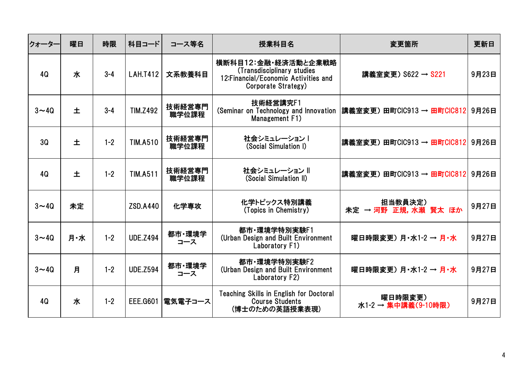| クォーター                 | 曜日  | 時限      | 科目コード           | コース等名           | 授業科目名                                                                                                             | 変更箇所                              | 更新日   |
|-----------------------|-----|---------|-----------------|-----------------|-------------------------------------------------------------------------------------------------------------------|-----------------------------------|-------|
| 4Q                    | 水   | $3 - 4$ | <b>LAH.T412</b> | 文系教養科目          | 横断科目12:金融・経済活動と企業戦略<br>(Transdisciplinary studies<br>12: Financial/Economic Activities and<br>Corporate Strategy) | 講義室変更) S622 → S221                | 9月23日 |
| $3\nightharpoonup 4Q$ | 土   | $3 - 4$ | <b>TIM.Z492</b> | 技術経営専門<br>職学位課程 | 技術経営講究F1<br>(Seminar on Technology and Innovation<br>Management F1)                                               | 講義室変更) 田町CIC913 → 田町CIC812  9月26日 |       |
| 3Q                    | 土   | $1 - 2$ | <b>TIM.A510</b> | 技術経営専門<br>職学位課程 | 社会シミュレーション丨<br>(Social Simulation I)                                                                              | 講義室変更) 田町CIC913 → 田町CIC812 9月26日  |       |
| 4Q                    | 土   | $1 - 2$ | <b>TIM.A511</b> | 技術経営専門<br>職学位課程 | 社会シミュレーション   <br>(Social Simulation II)                                                                           | 講義室変更) 田町CIC913 → 田町CIC812 9月26日  |       |
| $3\nu$ 40             | 未定  |         | <b>ZSD.A440</b> | 化学専攻            | 化学トピックス特別講義<br>(Topics in Chemistry)                                                                              | 担当教員決定)<br>未定 → 河野 正規, 水瀬 賢太 ほか   | 9月27日 |
| $3\nu$ 40             | 月·水 | $1 - 2$ | <b>UDE.Z494</b> | 都市·環境学<br>コース   | 都市·環境学特別実験F1<br>(Urban Design and Built Environment<br>Laboratory F1)                                             | 曜日時限変更)月·水1-2 → 月·水               | 9月27日 |
| $3 \sim 40$           | 月   | $1 - 2$ | <b>UDE.Z594</b> | 都市·環境学<br>コース   | 都市·環境学特別実験F2<br>(Urban Design and Built Environment<br>Laboratory F2)                                             | 曜日時限変更) 月·水1-2 → 月·水              | 9月27日 |
| 4Q                    | 水   | $1 - 2$ | <b>EEE.G601</b> | 電気電子コース         | <b>Teaching Skills in English for Doctoral</b><br><b>Course Students</b><br>(博士のための英語授業表現)                        | 曜日時限変更)<br>水1-2 → 集中講義(9-10時限)    | 9月27日 |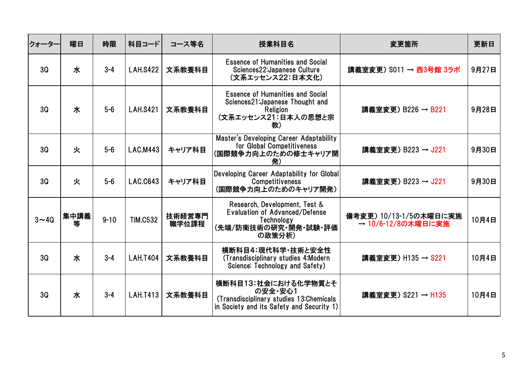| クォーター    | 曜日        | 時限       | 科目コード           | コース等名           | 授業科目名                                                                                                                  | 変更箇所                                         | 更新日   |
|----------|-----------|----------|-----------------|-----------------|------------------------------------------------------------------------------------------------------------------------|----------------------------------------------|-------|
| 30       | 水         | $3 - 4$  | <b>LAH.S422</b> | 文系教養科目          | <b>Essence of Humanities and Social</b><br>Sciences22: Japanese Culture<br>(文系エッセンス22:日本文化)                            | 講義室変更) S011 → 西3号館 3ラボ                       | 9月27日 |
| 30       | 水         | $5-6$    | <b>LAH.S421</b> | 文系教養科目          | <b>Essence of Humanities and Social</b><br>Sciences21: Japanese Thought and<br>Religion<br>(文系エッセンス21:日本人の思想と宗<br>教)   | 講義室変更) B226 → B221                           | 9月28日 |
| 30       | 火         | $5-6$    | <b>LAC.M443</b> | キャリア科目          | Master's Developing Career Adaptability<br>for Global Competitiveness<br>(国際競争力向上のための修士キャリア開<br>発)                     | 講義室変更) B223 → J221                           | 9月30日 |
| 3Q       | 火         | $5-6$    | <b>LAC.C643</b> | キャリア科目          | Developing Career Adaptability for Global<br><b>Competitiveness</b><br>(国際競争力向上のためのキャリア開発)                             | 講義室変更) B223 → J221                           | 9月30日 |
| $3 - 40$ | 集中講義<br>等 | $9 - 10$ | <b>TIM.C532</b> | 技術経営専門<br>職学位課程 | Research, Development, Test &<br>Evaluation of Advanced/Defense<br>Technology<br>(先端/防衛技術の研究・開発・試験・評価<br>の政策分析)        | 備考変更) 10/13-1/5の木曜日に実施<br>→ 10/6-12/8の木曜日に実施 | 10月4日 |
| 30       | 水         | $3 - 4$  | <b>LAH.T404</b> | 文系教養科目          | 横断科目4:現代科学・技術と安全性<br>(Transdisciplinary studies 4:Modern<br>Science: Technology and Safety)                            | 講義室変更) H135 → S221                           | 10月4日 |
| 30       | 水         | $3 - 4$  | <b>LAH.T413</b> | 文系教養科目          | 横断科目13:社会における化学物質とそ<br>の安全·安心1<br>(Transdisciplinary studies 13:Chemicals<br>in Society and its Safety and Security 1) | 講義室変更) S221 → H135                           | 10月4日 |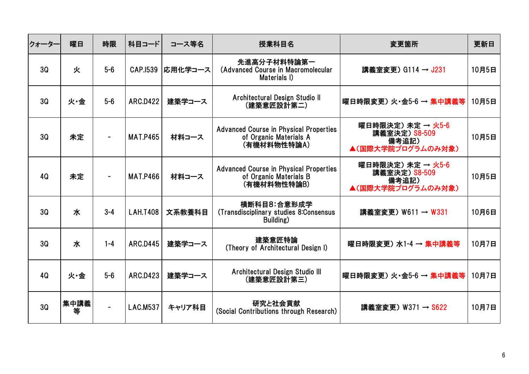| クォーター | 曜日        | 時限      | 科目コード           | コース等名   | 授業科目名                                                                                  | 変更箇所                                                             | 更新日   |
|-------|-----------|---------|-----------------|---------|----------------------------------------------------------------------------------------|------------------------------------------------------------------|-------|
| 3Q    | 火         | $5-6$   | CAP.1539        | 応用化学コース | 先進高分子材料特論第一<br>(Advanced Course in Macromolecular<br>Materials I)                      | 講義室変更) G114 → J231                                               | 10月5日 |
| 3Q    | 火·金       | $5-6$   | <b>ARC.D422</b> | 建築学コース  | Architectural Design Studio II<br>(建築意匠設計第二)                                           | 曜日時限変更) 火・金5-6 → 集中講義等                                           | 10月5日 |
| 3Q    | 未定        |         | <b>MAT.P465</b> | 材料コース   | <b>Advanced Course in Physical Properties</b><br>of Organic Materials A<br>(有機材料物性特論A) | 曜日時限決定) 未定 → 火5-6<br>講義室決定) S8-509<br>備考追記)<br>▲(国際大学院プログラムのみ対象) | 10月5日 |
| 4Q    | 未定        |         | <b>MAT.P466</b> | 材料コース   | <b>Advanced Course in Physical Properties</b><br>of Organic Materials B<br>(有機材料物性特論B) | 曜日時限決定) 未定 → 火5-6<br>講義室決定) S8-509<br>備考追記)<br>▲(国際大学院プログラムのみ対象) | 10月5日 |
| 30    | 水         | $3 - 4$ | <b>LAH.T408</b> | 文系教養科目  | 横断科目8:合意形成学<br>(Transdisciplinary studies 8:Consensus<br>Building)                     | 講義室変更) W611 → W331                                               | 10月6日 |
| 3Q    | 水         | $1 - 4$ | <b>ARC.D445</b> | 建築学コース  | 建築意匠特論<br>(Theory of Architectural Design I)                                           | 曜日時限変更) 水1-4 → 集中講義等                                             | 10月7日 |
| 4Q    | 火·金       | $5-6$   | <b>ARC.D423</b> | 建築学コース  | Architectural Design Studio III<br>(建築意匠設計第三)                                          | 曜日時限変更) 火・金5-6 → 集中講義等                                           | 10月7日 |
| 3Q    | 集中講義<br>等 |         | <b>LAC.M537</b> | キャリア科目  | 研究と社会貢献<br>(Social Contributions through Research)                                     | 講義室変更) W371 → S622                                               | 10月7日 |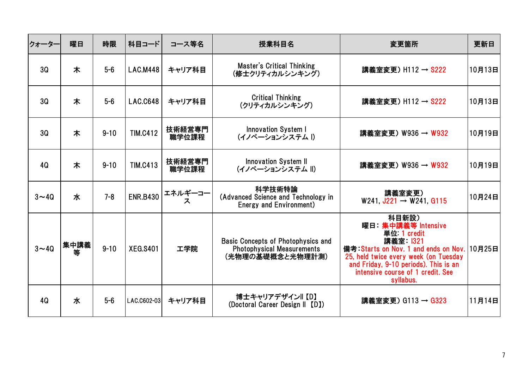| クォーター     | 曜日        | 時限       | 科目コード           | コース等名           | 授業科目名                                                                                       | 変更箇所                                                                                                                                                                                                                                       | 更新日    |
|-----------|-----------|----------|-----------------|-----------------|---------------------------------------------------------------------------------------------|--------------------------------------------------------------------------------------------------------------------------------------------------------------------------------------------------------------------------------------------|--------|
| 3Q        | 木         | $5-6$    | <b>LAC.M448</b> | キャリア科目          | <b>Master's Critical Thinking</b><br>(修士クリティカルシンキング)                                        | 講義室変更) H112 → S222                                                                                                                                                                                                                         | 10月13日 |
| 3Q        | 木         | $5-6$    | <b>LAC.C648</b> | キャリア科目          | <b>Critical Thinking</b><br>(クリティカルシンキング)                                                   | 講義室変更) H112 → S222                                                                                                                                                                                                                         | 10月13日 |
| 3Q        | 木         | $9 - 10$ | <b>TIM.C412</b> | 技術経営専門<br>職学位課程 | <b>Innovation System I</b><br>(イノベーションシステム I)                                               | 講義室変更) W936 → W932                                                                                                                                                                                                                         | 10月19日 |
| 4Q        | 木         | $9 - 10$ | <b>TIM.C413</b> | 技術経営専門<br>職学位課程 | <b>Innovation System II</b><br>(イノベーションシステム   )                                             | 講義室変更) W936 → W932                                                                                                                                                                                                                         | 10月19日 |
| $3\nu$ 40 | 水         | $7 - 8$  | <b>ENR.B430</b> | エネルギーコー<br>ス    | 科学技術特論<br>(Advanced Science and Technology in<br>Energy and Environment)                    | 講義室変更)<br>W241, $J221 \rightarrow W241$ , G115                                                                                                                                                                                             | 10月24日 |
| $3 - 40$  | 集中講義<br>等 | $9 - 10$ | <b>XEG.S401</b> | 工学院             | Basic Concepts of Photophysics and<br><b>Photophysical Measurements</b><br>(光物理の基礎概念と光物理計測) | 科目新設)<br>曜日 集中講義等 Intensive<br>単位: 1 credit<br>講義室 1321<br>備考:Starts on Nov. 1 and ends on Nov. 10月25日<br>25, held twice every week (on Tuesday<br>and Friday, 9-10 periods). This is an<br>intensive course of 1 credit. See<br>syllabus. |        |
| 4Q        | 水         | $5-6$    | LAC.C602-03     | キャリア科目          | 博士キャリアデザイン   【D】<br>(Doctoral Career Design II [D])                                         | 講義室変更) G113 → G323                                                                                                                                                                                                                         | 11月14日 |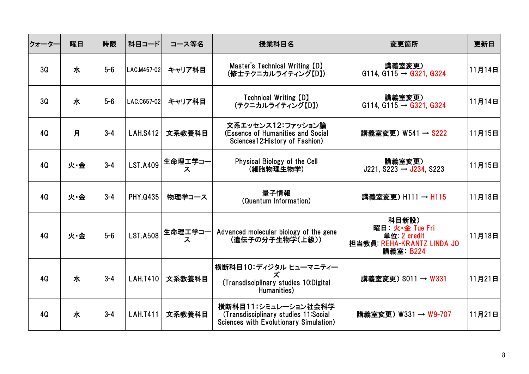| クォーター | 曜日  | 時限      | 科目コード           | コース等名        | 授業科目名                                                                                                 | 変更箇所                                                                              | 更新日    |
|-------|-----|---------|-----------------|--------------|-------------------------------------------------------------------------------------------------------|-----------------------------------------------------------------------------------|--------|
| 3Q    | 水   | $5-6$   | LAC.M457-02     | キャリア科目       | Master's Technical Writing [D]<br>(修士テクニカルライティング【D】)                                                  | 講義室変更)<br>G114, G115 $\rightarrow$ G321, G324                                     | 11月14日 |
| 3Q    | 水   | $5-6$   | LAC.C657-02     | キャリア科目       | <b>Technical Writing [D]</b><br>(テクニカルライティング【D】)                                                      | 講義室変更)<br>$G114, G115 \rightarrow G321, G324$                                     | 11月14日 |
| 4Q    | 月   | $3 - 4$ | <b>LAH.S412</b> | 文系教養科目       | 文系エッセンス12:ファッション論<br>(Essence of Humanities and Social<br>Sciences12: History of Fashion)             | 講義室変更) W541 → S222                                                                | 11月15日 |
| 4Q    | 火·金 | $3 - 4$ | <b>LST.A409</b> | 生命理工学コー<br>ス | Physical Biology of the Cell<br>(細胞物理生物学)                                                             | 講義室変更)<br>$J221, S223 \rightarrow J234, S223$                                     | 11月15日 |
| 4Q    | 火·金 | $3 - 4$ | <b>PHY.0435</b> | 物理学コース       | 量子情報<br>(Quantum Information)                                                                         | 講義室変更) H111 → H115                                                                | 11月18日 |
| 4Q    | 火·金 | $5-6$   | <b>LST.A508</b> | 生命理工学コー<br>ス | Advanced molecular biology of the gene<br>(遺伝子の分子生物学(上級))                                             | 科目新設)<br>曜日 火·金 Tue Fri<br>単位: 2 credit<br>担当教員: REHA-KRANTZ LINDA JO<br>講義室 B224 | 11月18日 |
| 4Q    | 水   | $3 - 4$ | <b>LAH.T410</b> | 文系教養科目       | 横断科目10:ディジタル ヒューマニティー<br>(Transdisciplinary studies 10:Digital<br>Humanities)                         | 講義室変更) 8011 → W331                                                                | 11月21日 |
| 4Q    | 水   | $3 - 4$ | <b>LAH.T411</b> | 文系教養科目       | 横断科目11:シミュレーション社会科学<br>(Transdisciplinary studies 11:Social<br>Sciences with Evolutionary Simulation) | 講義室変更) W331 → W9-707                                                              | 11月21日 |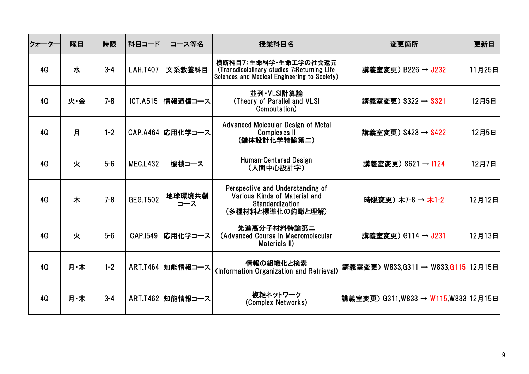| クォーター | 曜日  | 時限      | 科目コード           | コース等名              | 授業科目名                                                                                                                | 変更箇所                                | 更新日    |
|-------|-----|---------|-----------------|--------------------|----------------------------------------------------------------------------------------------------------------------|-------------------------------------|--------|
| 4Q    | 水   | $3 - 4$ | <b>LAH.T407</b> | 文系教養科目             | 横断科目7:生命科学・生命工学の社会還元<br>(Transdisciplinary studies 7: Returning Life<br>Sciences and Medical Engineering to Society) | 講義室変更) B226 → J232                  | 11月25日 |
| 4Q    | 火·金 | $7 - 8$ | <b>ICT.A515</b> | 情報通信コース            | 並列·VLSI計算論<br>(Theory of Parallel and VLSI<br>Computation)                                                           | 講義室変更) S322 → S321                  | 12月5日  |
| 4Q    | 月   | $1 - 2$ |                 | CAP.A464  応用化学コース  | Advanced Molecular Design of Metal<br><b>Complexes II</b><br>(錯体設計化学特論第二)                                            | 講義室変更) S423 → S422                  | 12月5日  |
| 4Q    | 火   | $5-6$   | <b>MEC.L432</b> | 機械コース              | Human-Centered Design<br>(人間中心設計学)                                                                                   | 講義室変更) S621 → I124                  | 12月7日  |
| 4Q    | 木   | $7 - 8$ | <b>GEG.T502</b> | 地球環境共創<br>コース      | Perspective and Understanding of<br>Various Kinds of Material and<br><b>Standardization</b><br>(多種材料と標準化の俯瞰と理解)      | 時限変更) 木7-8 → 木1-2                   | 12月12日 |
| 4Q    | 火   | $5-6$   | <b>CAP.1549</b> | 応用化学コース            | 先進高分子材料特論第二<br>(Advanced Course in Macromolecular<br>Materials II)                                                   | 講義室変更) G114 → J231                  | 12月13日 |
| 4Q    | 月·木 | $1 - 2$ |                 | ART.T464   知能情報コース | 情報の組織化と検索<br>(Information Organization and Retrieval)                                                                | 講義室変更) W833,G311 → W833,G115 12月15日 |        |
| 4Q    | 月·木 | $3 - 4$ |                 | ART.T462   知能情報コース | 複雑ネットワーク<br>(Complex Networks)                                                                                       | 講義室変更) G311,W833 → W115,W833 12月15日 |        |